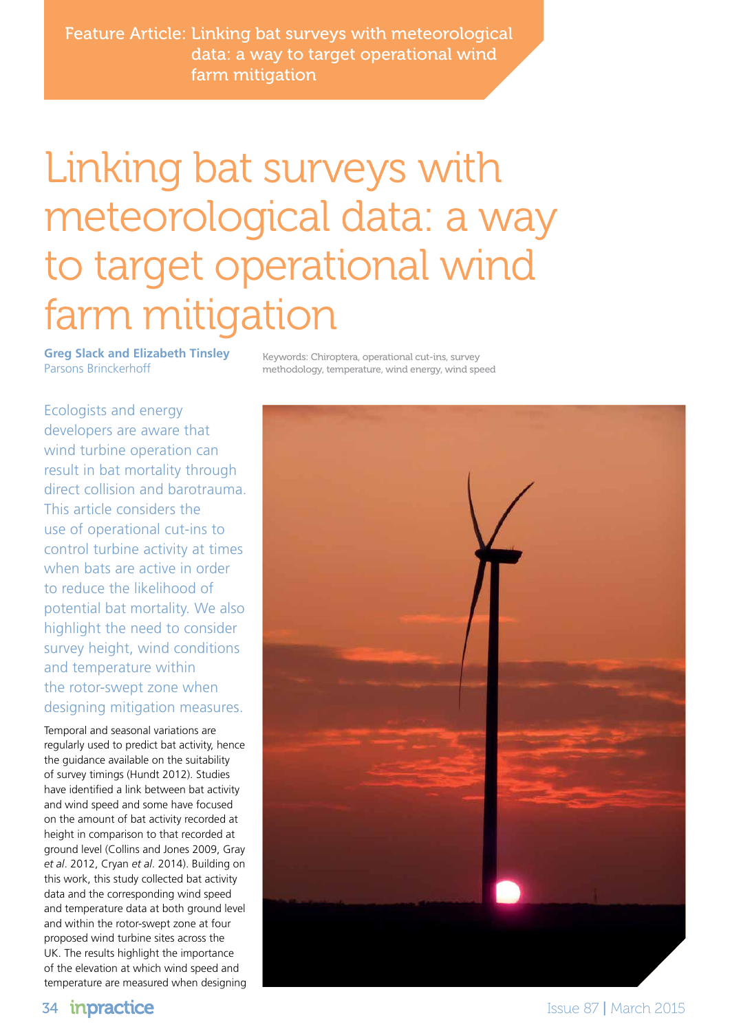Feature Article: Linking bat surveys with meteorological data: a way to target operational wind farm mitigation

# Linking bat surveys with meteorological data: a way to target operational wind farm mitigation

**Greg Slack and Elizabeth Tinsley** Parsons Brinckerhoff

Keywords: Chiroptera, operational cut-ins, survey methodology, temperature, wind energy, wind speed

Ecologists and energy developers are aware that wind turbine operation can result in bat mortality through direct collision and barotrauma. This article considers the use of operational cut-ins to control turbine activity at times when bats are active in order to reduce the likelihood of potential bat mortality. We also highlight the need to consider survey height, wind conditions and temperature within the rotor-swept zone when designing mitigation measures.

Temporal and seasonal variations are regularly used to predict bat activity, hence the guidance available on the suitability of survey timings (Hundt 2012). Studies have identified a link between bat activity and wind speed and some have focused on the amount of bat activity recorded at height in comparison to that recorded at ground level (Collins and Jones 2009, Gray *et al*. 2012, Cryan *et al*. 2014). Building on this work, this study collected bat activity data and the corresponding wind speed and temperature data at both ground level and within the rotor-swept zone at four proposed wind turbine sites across the UK. The results highlight the importance of the elevation at which wind speed and temperature are measured when designing

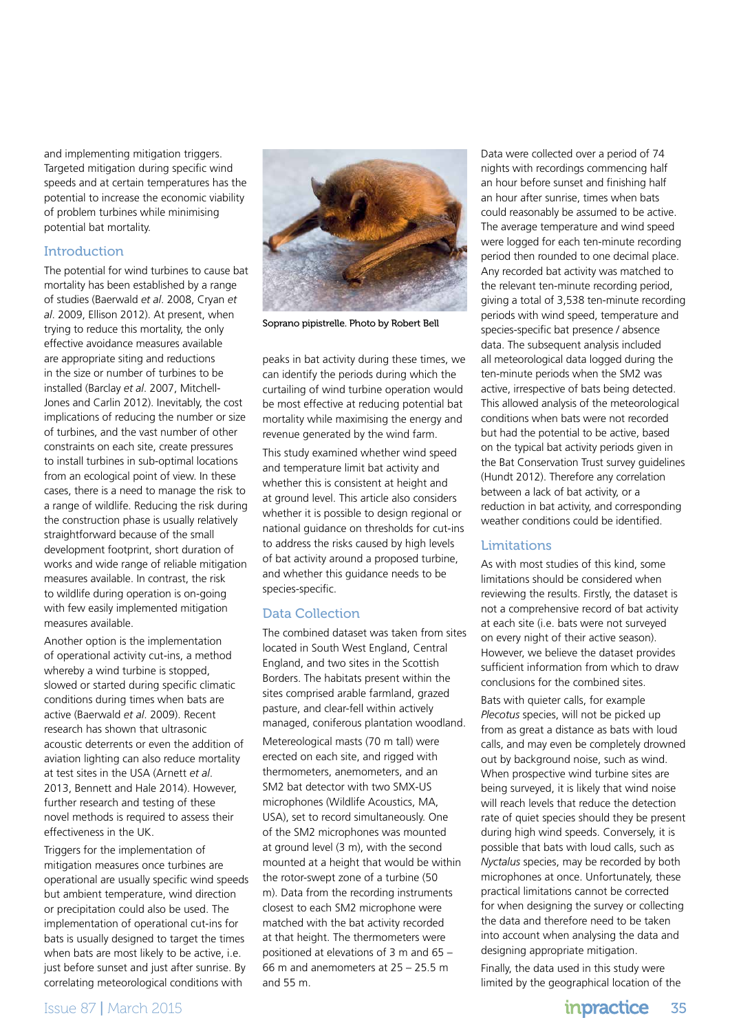and implementing mitigation triggers. Targeted mitigation during specific wind speeds and at certain temperatures has the potential to increase the economic viability of problem turbines while minimising potential bat mortality.

# Introduction

The potential for wind turbines to cause bat mortality has been established by a range of studies (Baerwald *et al*. 2008, Cryan *et al*. 2009, Ellison 2012). At present, when trying to reduce this mortality, the only effective avoidance measures available are appropriate siting and reductions in the size or number of turbines to be installed (Barclay *et al*. 2007, Mitchell-Jones and Carlin 2012). Inevitably, the cost implications of reducing the number or size of turbines, and the vast number of other constraints on each site, create pressures to install turbines in sub-optimal locations from an ecological point of view. In these cases, there is a need to manage the risk to a range of wildlife. Reducing the risk during the construction phase is usually relatively straightforward because of the small development footprint, short duration of works and wide range of reliable mitigation measures available. In contrast, the risk to wildlife during operation is on-going with few easily implemented mitigation measures available.

Another option is the implementation of operational activity cut-ins, a method whereby a wind turbine is stopped, slowed or started during specific climatic conditions during times when bats are active (Baerwald *et al*. 2009). Recent research has shown that ultrasonic acoustic deterrents or even the addition of aviation lighting can also reduce mortality at test sites in the USA (Arnett *et al*. 2013, Bennett and Hale 2014). However, further research and testing of these novel methods is required to assess their effectiveness in the UK.

Triggers for the implementation of mitigation measures once turbines are operational are usually specific wind speeds but ambient temperature, wind direction or precipitation could also be used. The implementation of operational cut-ins for bats is usually designed to target the times when bats are most likely to be active, i.e. just before sunset and just after sunrise. By correlating meteorological conditions with



Soprano pipistrelle. Photo by Robert Bell

peaks in bat activity during these times, we can identify the periods during which the curtailing of wind turbine operation would be most effective at reducing potential bat mortality while maximising the energy and revenue generated by the wind farm.

This study examined whether wind speed and temperature limit bat activity and whether this is consistent at height and at ground level. This article also considers whether it is possible to design regional or national guidance on thresholds for cut-ins to address the risks caused by high levels of bat activity around a proposed turbine, and whether this guidance needs to be species-specific.

# Data Collection

The combined dataset was taken from sites located in South West England, Central England, and two sites in the Scottish Borders. The habitats present within the sites comprised arable farmland, grazed pasture, and clear-fell within actively managed, coniferous plantation woodland.

Metereological masts (70 m tall) were erected on each site, and rigged with thermometers, anemometers, and an SM2 bat detector with two SMX-US microphones (Wildlife Acoustics, MA, USA), set to record simultaneously. One of the SM2 microphones was mounted at ground level (3 m), with the second mounted at a height that would be within the rotor-swept zone of a turbine (50 m). Data from the recording instruments closest to each SM2 microphone were matched with the bat activity recorded at that height. The thermometers were positioned at elevations of 3 m and 65 – 66 m and anemometers at 25 – 25.5 m and 55 m.

Data were collected over a period of 74 nights with recordings commencing half an hour before sunset and finishing half an hour after sunrise, times when bats could reasonably be assumed to be active. The average temperature and wind speed were logged for each ten-minute recording period then rounded to one decimal place. Any recorded bat activity was matched to the relevant ten-minute recording period, giving a total of 3,538 ten-minute recording periods with wind speed, temperature and species-specific bat presence / absence data. The subsequent analysis included all meteorological data logged during the ten-minute periods when the SM2 was active, irrespective of bats being detected. This allowed analysis of the meteorological conditions when bats were not recorded but had the potential to be active, based on the typical bat activity periods given in the Bat Conservation Trust survey guidelines (Hundt 2012). Therefore any correlation between a lack of bat activity, or a reduction in bat activity, and corresponding weather conditions could be identified.

# **Limitations**

As with most studies of this kind, some limitations should be considered when reviewing the results. Firstly, the dataset is not a comprehensive record of bat activity at each site (i.e. bats were not surveyed on every night of their active season). However, we believe the dataset provides sufficient information from which to draw conclusions for the combined sites.

Bats with quieter calls, for example *Plecotus* species, will not be picked up from as great a distance as bats with loud calls, and may even be completely drowned out by background noise, such as wind. When prospective wind turbine sites are being surveyed, it is likely that wind noise will reach levels that reduce the detection rate of quiet species should they be present during high wind speeds. Conversely, it is possible that bats with loud calls, such as *Nyctalus* species, may be recorded by both microphones at once. Unfortunately, these practical limitations cannot be corrected for when designing the survey or collecting the data and therefore need to be taken into account when analysing the data and designing appropriate mitigation.

Finally, the data used in this study were limited by the geographical location of the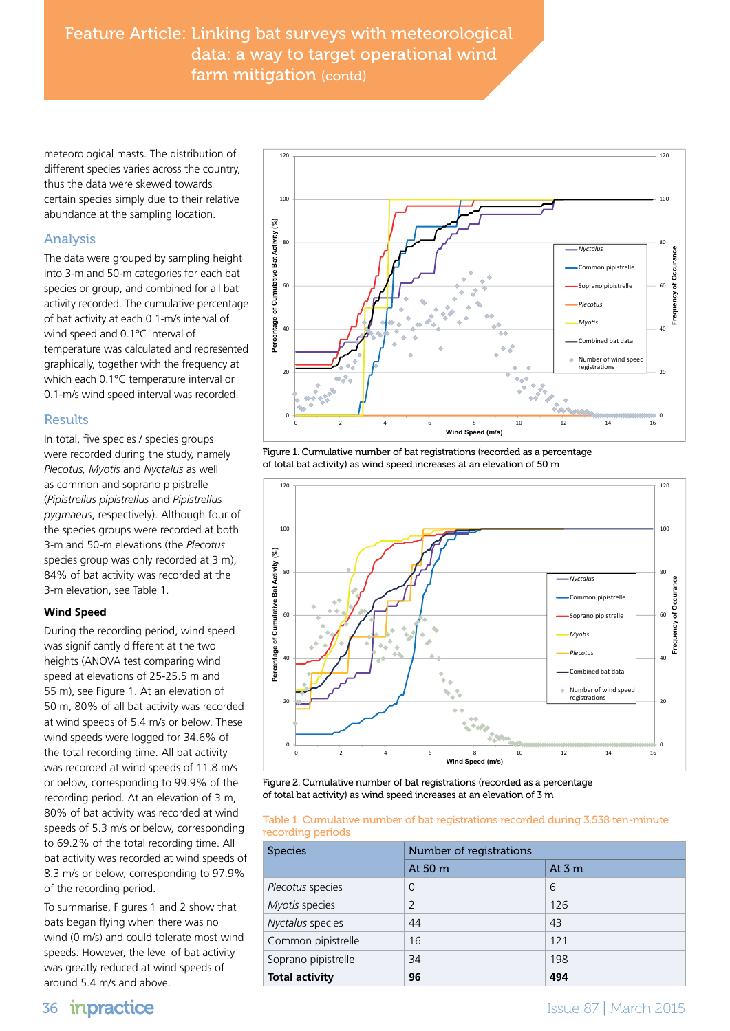Feature Article: Linking bat surveys with meteorological data: a way to target operational wind farm mitigation (contd)

meteorological masts. The distribution of different species varies across the country, thus the data were skewed towards certain species simply due to their relative abundance at the sampling location.

# Analysis

The data were grouped by sampling height into 3-m and 50-m categories for each bat species or group, and combined for all bat activity recorded. The cumulative percentage of bat activity at each 0.1-m/s interval of wind speed and 0.1°C interval of temperature was calculated and represented graphically, together with the frequency at which each 0.1°C temperature interval or 0.1-m/s wind speed interval was recorded.

# **Results**

In total, five species / species groups were recorded during the study, namely *Plecotus, Myotis* and *Nyctalus* as well as common and soprano pipistrelle (*Pipistrellus pipistrellus* and *Pipistrellus pygmaeus*, respectively). Although four of the species groups were recorded at both 3-m and 50-m elevations (the *Plecotus* species group was only recorded at 3 m). 84% of bat activity was recorded at the 3-m elevation, see Table 1.

# **Wind Speed**

During the recording period, wind speed was significantly different at the two heights (ANOVA test comparing wind speed at elevations of 25-25.5 m and 55 m), see Figure 1. At an elevation of 50 m, 80% of all bat activity was recorded at wind speeds of 5.4 m/s or below. These wind speeds were logged for 34.6% of the total recording time. All bat activity was recorded at wind speeds of 11.8 m/s or below, corresponding to 99.9% of the recording period. At an elevation of 3 m, 80% of bat activity was recorded at wind speeds of 5.3 m/s or below, corresponding to 69.2% of the total recording time. All bat activity was recorded at wind speeds of 8.3 m/s or below, corresponding to 97.9% of the recording period.

To summarise, Figures 1 and 2 show that bats began flying when there was no wind (0 m/s) and could tolerate most wind speeds. However, the level of bat activity was greatly reduced at wind speeds of around 5.4 m/s and above.



Figure 1. Cumulative number of bat registrations (recorded as a percentage of total bat activity) as wind speed increases at an elevation of 50 m



Figure 2. Cumulative number of bat registrations (recorded as a percentage of total bat activity) as wind speed increases at an elevation of 3 m

## Table 1. Cumulative number of bat registrations recorded during 3,538 ten-minute recording periods

| <b>Species</b>        | Number of registrations |         |  |
|-----------------------|-------------------------|---------|--|
|                       | At 50 m                 | At $3m$ |  |
| Plecotus species      | $\Omega$                | 6       |  |
| Myotis species        | $\overline{2}$          | 126     |  |
| Nyctalus species      | 44                      | 43      |  |
| Common pipistrelle    | 16                      | 121     |  |
| Soprano pipistrelle   | 34                      | 198     |  |
| <b>Total activity</b> | 96                      | 494     |  |

**36 inpractice 1988** Issue 87 | March 2015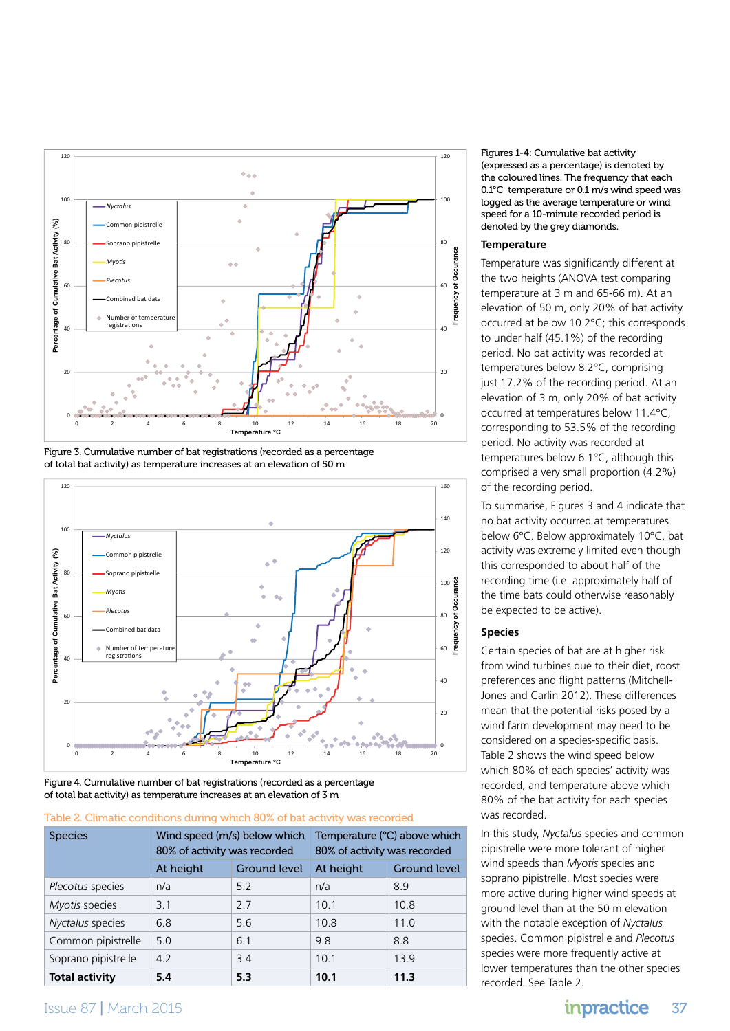

Figure 3. Cumulative number of bat registrations (recorded as a percentage of total bat activity) as temperature increases at an elevation of 50 m



Figure 4. Cumulative number of bat registrations (recorded as a percentage of total bat activity) as temperature increases at an elevation of 3 m

### Table 2. Climatic conditions during which 80% of bat activity was recorded

| <b>Species</b>        | Wind speed (m/s) below which<br>80% of activity was recorded |              | Temperature (°C) above which<br>80% of activity was recorded |                     |
|-----------------------|--------------------------------------------------------------|--------------|--------------------------------------------------------------|---------------------|
|                       | At height                                                    | Ground level | At height                                                    | <b>Ground level</b> |
| Plecotus species      | n/a                                                          | 5.2          | n/a                                                          | 8.9                 |
| Myotis species        | 3.1                                                          | 27           | 10 <sub>1</sub>                                              | 10.8                |
| Nyctalus species      | 6.8                                                          | 5.6          | 10.8                                                         | 11.0                |
| Common pipistrelle    | 50                                                           | 6.1          | 9.8                                                          | 8.8                 |
| Soprano pipistrelle   | 4.2                                                          | 3.4          | 10.1                                                         | 13.9                |
| <b>Total activity</b> | 5.4                                                          | 5.3          | 10.1                                                         | 11.3                |

Figures 1-4: Cumulative bat activity (expressed as a percentage) is denoted by the coloured lines. The frequency that each 0.1°C temperature or 0.1 m/s wind speed was logged as the average temperature or wind speed for a 10-minute recorded period is denoted by the grey diamonds.

## **Temperature**

Temperature was significantly different at the two heights (ANOVA test comparing temperature at 3 m and 65-66 m). At an elevation of 50 m, only 20% of bat activity occurred at below 10.2°C; this corresponds to under half (45.1%) of the recording period. No bat activity was recorded at temperatures below 8.2°C, comprising just 17.2% of the recording period. At an elevation of 3 m, only 20% of bat activity occurred at temperatures below 11.4°C, corresponding to 53.5% of the recording period. No activity was recorded at temperatures below 6.1°C, although this comprised a very small proportion (4.2%) of the recording period.

To summarise, Figures 3 and 4 indicate that no bat activity occurred at temperatures below 6°C. Below approximately 10°C, bat activity was extremely limited even though this corresponded to about half of the recording time (i.e. approximately half of the time bats could otherwise reasonably be expected to be active).

## **Species**

Certain species of bat are at higher risk from wind turbines due to their diet, roost preferences and flight patterns (Mitchell-Jones and Carlin 2012). These differences mean that the potential risks posed by a wind farm development may need to be considered on a species-specific basis. Table 2 shows the wind speed below which 80% of each species' activity was recorded, and temperature above which 80% of the bat activity for each species was recorded.

In this study, *Nyctalus* species and common pipistrelle were more tolerant of higher wind speeds than *Myotis* species and soprano pipistrelle. Most species were more active during higher wind speeds at ground level than at the 50 m elevation with the notable exception of *Nyctalus* species. Common pipistrelle and *Plecotus* species were more frequently active at lower temperatures than the other species recorded. See Table 2.

# Issue 87 | March 2015 37 | March 2015 37 | Superintendent State State State State State State State State State State State State State State State State State State State State State State State State State State State St